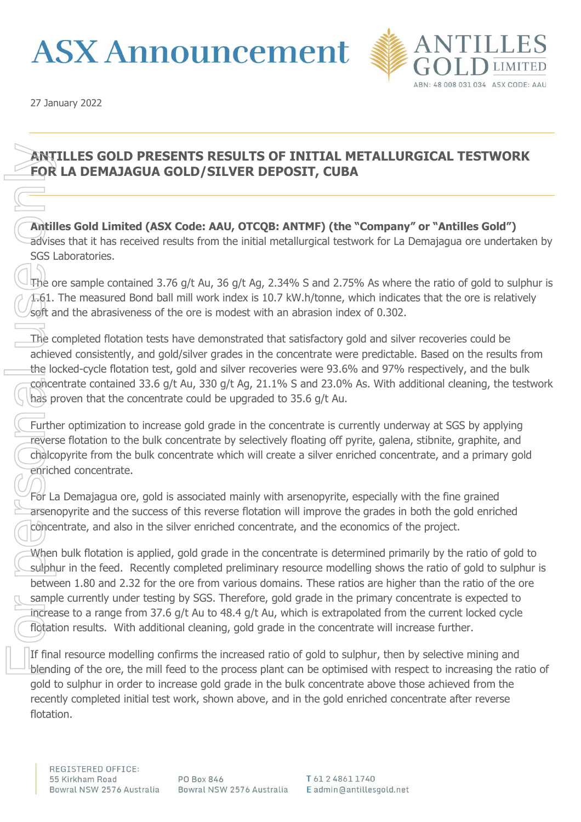# **ASX Announcement**



27 January 2022

## **ANTILLES GOLD PRESENTS RESULTS OF INITIAL METALLURGICAL TESTWORK FOR LA DEMAJAGUA GOLD/SILVER DEPOSIT, CUBA**

**Antilles Gold Limited (ASX Code: AAU, OTCQB: ANTMF) (the "Company" or "Antilles Gold")** advises that it has received results from the initial metallurgical testwork for La Demajagua ore undertaken by SGS Laboratories.

The ore sample contained 3.76 g/t Au, 36 g/t Ag, 2.34% S and 2.75% As where the ratio of gold to sulphur is 1.61. The measured Bond ball mill work index is 10.7 kW.h/tonne, which indicates that the ore is relatively soft and the abrasiveness of the ore is modest with an abrasion index of 0.302.

The completed flotation tests have demonstrated that satisfactory gold and silver recoveries could be achieved consistently, and gold/silver grades in the concentrate were predictable. Based on the results from the locked-cycle flotation test, gold and silver recoveries were 93.6% and 97% respectively, and the bulk concentrate contained 33.6 g/t Au, 330 g/t Ag, 21.1% S and 23.0% As. With additional cleaning, the testwork has proven that the concentrate could be upgraded to 35.6 g/t Au.

Further optimization to increase gold grade in the concentrate is currently underway at SGS by applying reverse flotation to the bulk concentrate by selectively floating off pyrite, galena, stibnite, graphite, and chalcopyrite from the bulk concentrate which will create a silver enriched concentrate, and a primary gold enriched concentrate.

For La Demajagua ore, gold is associated mainly with arsenopyrite, especially with the fine grained arsenopyrite and the success of this reverse flotation will improve the grades in both the gold enriched concentrate, and also in the silver enriched concentrate, and the economics of the project.

When bulk flotation is applied, gold grade in the concentrate is determined primarily by the ratio of gold to sulphur in the feed. Recently completed preliminary resource modelling shows the ratio of gold to sulphur is between 1.80 and 2.32 for the ore from various domains. These ratios are higher than the ratio of the ore sample currently under testing by SGS. Therefore, gold grade in the primary concentrate is expected to increase to a range from 37.6 g/t Au to 48.4 g/t Au, which is extrapolated from the current locked cycle flotation results. With additional cleaning, gold grade in the concentrate will increase further. FOR LA<br>
FOR LA<br>
advises t<br>
SGS Labor<br>
The ore s<br>
The com<br>
achieved<br>
the locke<br>
the locke<br>
the locke<br>
concentric reverse f<br>
chalcopy<br>
enriched<br>
For La De<br>
arsenopy<br>
enriched<br>
For La De<br>
arsenopy<br>
concentric<br>
when bu sulphur

If final resource modelling confirms the increased ratio of gold to sulphur, then by selective mining and blending of the ore, the mill feed to the process plant can be optimised with respect to increasing the ratio of gold to sulphur in order to increase gold grade in the bulk concentrate above those achieved from the recently completed initial test work, shown above, and in the gold enriched concentrate after reverse flotation.